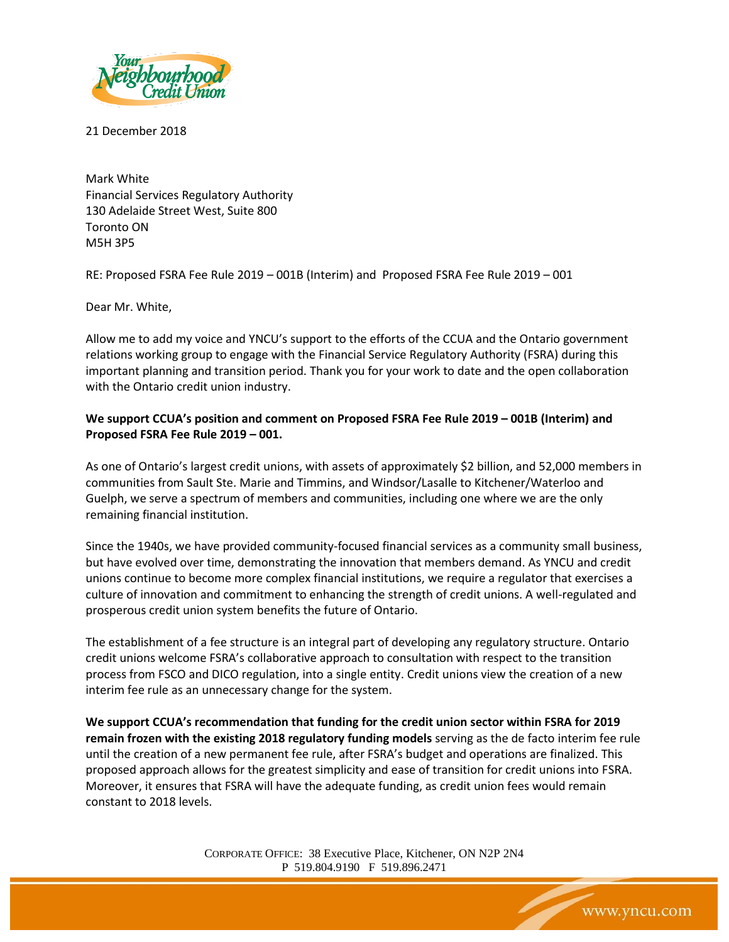

21 December 2018

Mark White Financial Services Regulatory Authority 130 Adelaide Street West, Suite 800 Toronto ON M5H 3P5

RE: Proposed FSRA Fee Rule 2019 – 001B (Interim) and Proposed FSRA Fee Rule 2019 – 001

Dear Mr. White,

Allow me to add my voice and YNCU's support to the efforts of the CCUA and the Ontario government relations working group to engage with the Financial Service Regulatory Authority (FSRA) during this important planning and transition period. Thank you for your work to date and the open collaboration with the Ontario credit union industry.

## **We support CCUA's position and comment on Proposed FSRA Fee Rule 2019 – 001B (Interim) and Proposed FSRA Fee Rule 2019 – 001.**

As one of Ontario's largest credit unions, with assets of approximately \$2 billion, and 52,000 members in communities from Sault Ste. Marie and Timmins, and Windsor/Lasalle to Kitchener/Waterloo and Guelph, we serve a spectrum of members and communities, including one where we are the only remaining financial institution.

Since the 1940s, we have provided community-focused financial services as a community small business, but have evolved over time, demonstrating the innovation that members demand. As YNCU and credit unions continue to become more complex financial institutions, we require a regulator that exercises a culture of innovation and commitment to enhancing the strength of credit unions. A well-regulated and prosperous credit union system benefits the future of Ontario.

The establishment of a fee structure is an integral part of developing any regulatory structure. Ontario credit unions welcome FSRA's collaborative approach to consultation with respect to the transition process from FSCO and DICO regulation, into a single entity. Credit unions view the creation of a new interim fee rule as an unnecessary change for the system.

**We support CCUA's recommendation that funding for the credit union sector within FSRA for 2019 remain frozen with the existing 2018 regulatory funding models** serving as the de facto interim fee rule until the creation of a new permanent fee rule, after FSRA's budget and operations are finalized. This proposed approach allows for the greatest simplicity and ease of transition for credit unions into FSRA. Moreover, it ensures that FSRA will have the adequate funding, as credit union fees would remain constant to 2018 levels.

> CORPORATE OFFICE: 38 Executive Place, Kitchener, ON N2P 2N4 P 519.804.9190 F 519.896.2471